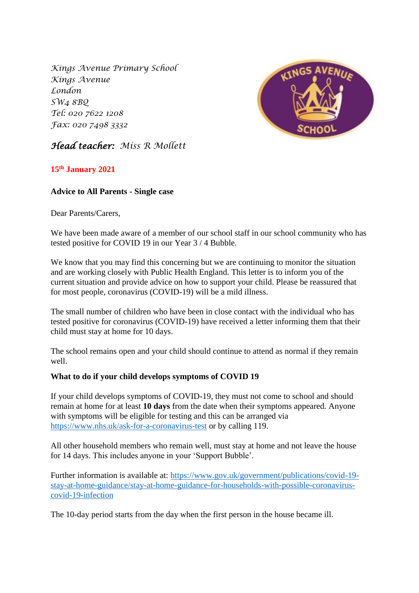*Kings Avenue Primary School Kings Avenue London SW4 8BQ Tel: 020 7622 1208 Fax: 020 7498 3332*



# *Head teacher: Miss R Mollett*

## **15th January 2021**

## **Advice to All Parents - Single case**

Dear Parents/Carers,

We have been made aware of a member of our school staff in our school community who has tested positive for COVID 19 in our Year 3 / 4 Bubble.

We know that you may find this concerning but we are continuing to monitor the situation and are working closely with Public Health England. This letter is to inform you of the current situation and provide advice on how to support your child. Please be reassured that for most people, coronavirus (COVID-19) will be a mild illness.

The small number of children who have been in close contact with the individual who has tested positive for coronavirus (COVID-19) have received a letter informing them that their child must stay at home for 10 days.

The school remains open and your child should continue to attend as normal if they remain well.

### **What to do if your child develops symptoms of COVID 19**

If your child develops symptoms of COVID-19, they must not come to school and should remain at home for at least **10 days** from the date when their symptoms appeared. Anyone with symptoms will be eligible for testing and this can be arranged via <https://www.nhs.uk/ask-for-a-coronavirus-test> or by calling 119.

All other household members who remain well, must stay at home and not leave the house for 14 days. This includes anyone in your 'Support Bubble'.

Further information is available at: [https://www.gov.uk/government/publications/covid-19](https://www.gov.uk/government/publications/covid-19-stay-at-home-guidance/stay-at-home-guidance-for-households-with-possible-coronavirus-covid-19-infection) [stay-at-home-guidance/stay-at-home-guidance-for-households-with-possible-coronavirus](https://www.gov.uk/government/publications/covid-19-stay-at-home-guidance/stay-at-home-guidance-for-households-with-possible-coronavirus-covid-19-infection)[covid-19-infection](https://www.gov.uk/government/publications/covid-19-stay-at-home-guidance/stay-at-home-guidance-for-households-with-possible-coronavirus-covid-19-infection)

The 10-day period starts from the day when the first person in the house became ill.